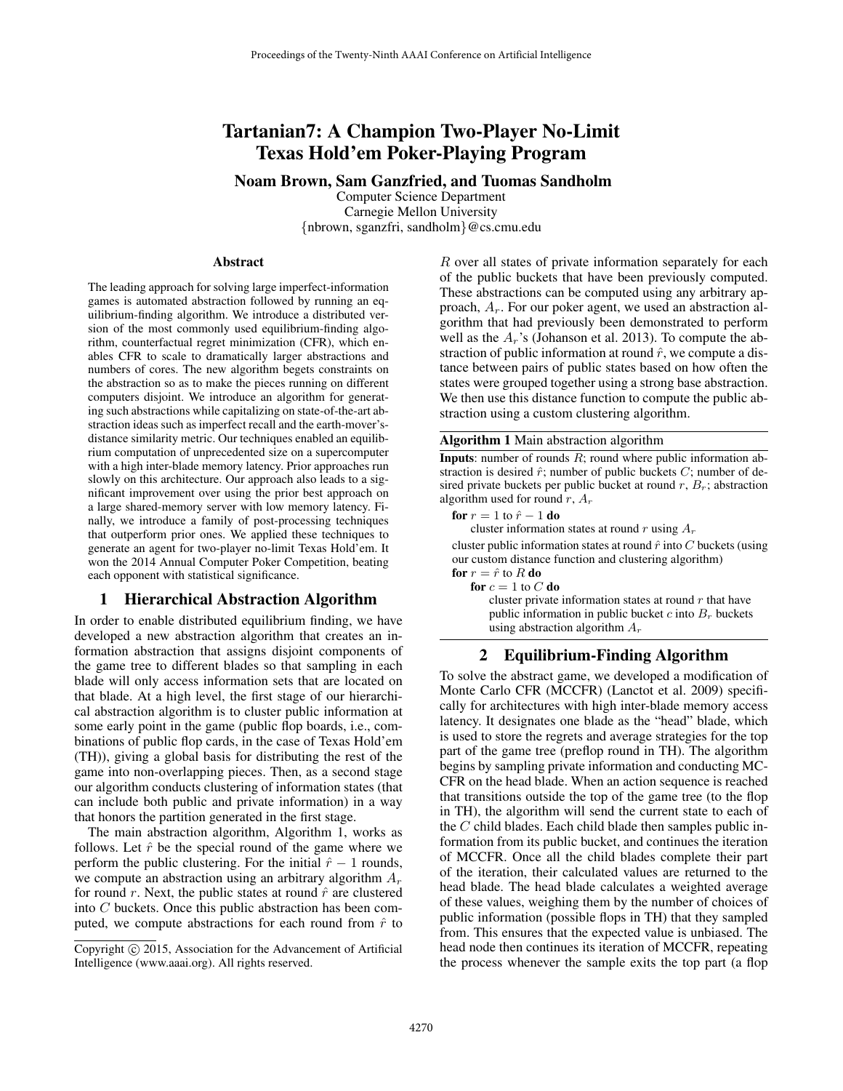# Tartanian7: A Champion Two-Player No-Limit Texas Hold'em Poker-Playing Program

Noam Brown, Sam Ganzfried, and Tuomas Sandholm

Computer Science Department Carnegie Mellon University {nbrown, sganzfri, sandholm}@cs.cmu.edu

#### Abstract

The leading approach for solving large imperfect-information games is automated abstraction followed by running an equilibrium-finding algorithm. We introduce a distributed version of the most commonly used equilibrium-finding algorithm, counterfactual regret minimization (CFR), which enables CFR to scale to dramatically larger abstractions and numbers of cores. The new algorithm begets constraints on the abstraction so as to make the pieces running on different computers disjoint. We introduce an algorithm for generating such abstractions while capitalizing on state-of-the-art abstraction ideas such as imperfect recall and the earth-mover'sdistance similarity metric. Our techniques enabled an equilibrium computation of unprecedented size on a supercomputer with a high inter-blade memory latency. Prior approaches run slowly on this architecture. Our approach also leads to a significant improvement over using the prior best approach on a large shared-memory server with low memory latency. Finally, we introduce a family of post-processing techniques that outperform prior ones. We applied these techniques to generate an agent for two-player no-limit Texas Hold'em. It won the 2014 Annual Computer Poker Competition, beating each opponent with statistical significance.

### 1 Hierarchical Abstraction Algorithm

In order to enable distributed equilibrium finding, we have developed a new abstraction algorithm that creates an information abstraction that assigns disjoint components of the game tree to different blades so that sampling in each blade will only access information sets that are located on that blade. At a high level, the first stage of our hierarchical abstraction algorithm is to cluster public information at some early point in the game (public flop boards, i.e., combinations of public flop cards, in the case of Texas Hold'em (TH)), giving a global basis for distributing the rest of the game into non-overlapping pieces. Then, as a second stage our algorithm conducts clustering of information states (that can include both public and private information) in a way that honors the partition generated in the first stage.

The main abstraction algorithm, Algorithm 1, works as follows. Let  $\hat{r}$  be the special round of the game where we perform the public clustering. For the initial  $\hat{r} - 1$  rounds, we compute an abstraction using an arbitrary algorithm  $A_r$ for round r. Next, the public states at round  $\hat{r}$  are clustered into C buckets. Once this public abstraction has been computed, we compute abstractions for each round from  $\hat{r}$  to

R over all states of private information separately for each of the public buckets that have been previously computed. These abstractions can be computed using any arbitrary approach,  $A<sub>r</sub>$ . For our poker agent, we used an abstraction algorithm that had previously been demonstrated to perform well as the  $A_r$ 's (Johanson et al. 2013). To compute the abstraction of public information at round  $\hat{r}$ , we compute a distance between pairs of public states based on how often the states were grouped together using a strong base abstraction. We then use this distance function to compute the public abstraction using a custom clustering algorithm.

Algorithm 1 Main abstraction algorithm

**Inputs**: number of rounds  $R$ ; round where public information abstraction is desired  $\hat{r}$ ; number of public buckets  $C$ ; number of desired private buckets per public bucket at round  $r$ ,  $B_r$ ; abstraction algorithm used for round  $r,$   $A_{r}$ 

for  $r = 1$  to  $\hat{r} - 1$  do

cluster information states at round  $r$  using  $A_r$ 

cluster public information states at round  $\hat{r}$  into C buckets (using our custom distance function and clustering algorithm) for  $r = \hat{r}$  to R do

for  $c = 1$  to  $C$  do

cluster private information states at round  $r$  that have public information in public bucket  $c$  into  $B_r$  buckets using abstraction algorithm  $A_r$ 

## 2 Equilibrium-Finding Algorithm

To solve the abstract game, we developed a modification of Monte Carlo CFR (MCCFR) (Lanctot et al. 2009) specifically for architectures with high inter-blade memory access latency. It designates one blade as the "head" blade, which is used to store the regrets and average strategies for the top part of the game tree (preflop round in TH). The algorithm begins by sampling private information and conducting MC-CFR on the head blade. When an action sequence is reached that transitions outside the top of the game tree (to the flop in TH), the algorithm will send the current state to each of the  $C$  child blades. Each child blade then samples public information from its public bucket, and continues the iteration of MCCFR. Once all the child blades complete their part of the iteration, their calculated values are returned to the head blade. The head blade calculates a weighted average of these values, weighing them by the number of choices of public information (possible flops in TH) that they sampled from. This ensures that the expected value is unbiased. The head node then continues its iteration of MCCFR, repeating the process whenever the sample exits the top part (a flop

Copyright (c) 2015, Association for the Advancement of Artificial Intelligence (www.aaai.org). All rights reserved.